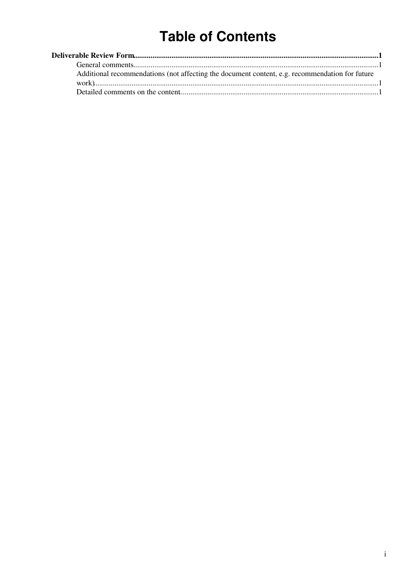# **Table of Contents**

| Additional recommendations (not affecting the document content, e.g. recommendation for future |  |
|------------------------------------------------------------------------------------------------|--|
|                                                                                                |  |
|                                                                                                |  |